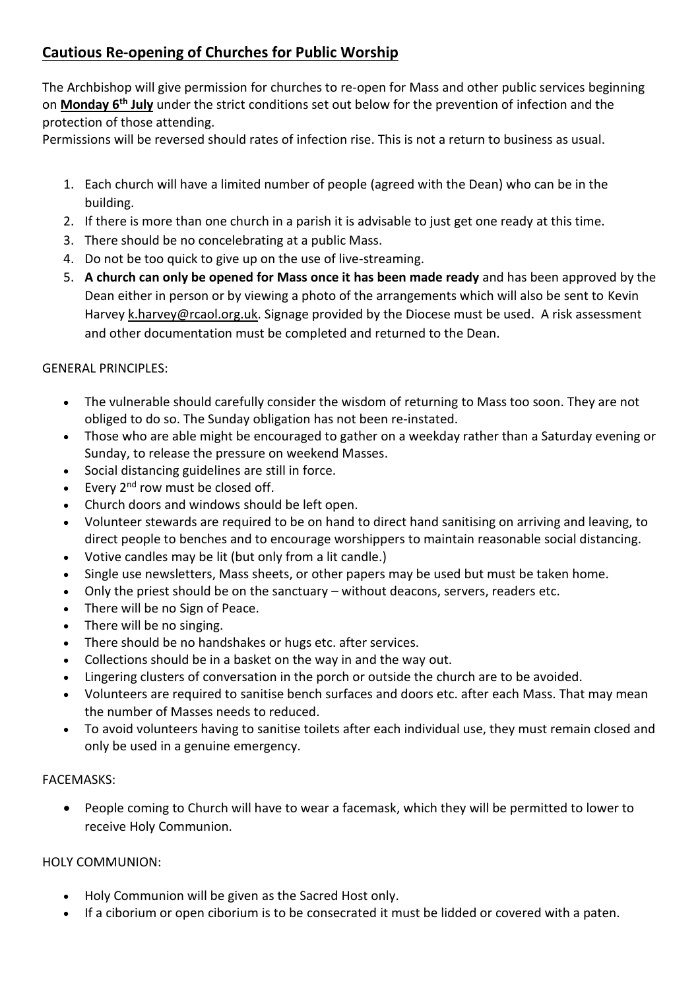# **Cautious Re-opening of Churches for Public Worship**

The Archbishop will give permission for churches to re-open for Mass and other public services beginning on **Monday 6th July** under the strict conditions set out below for the prevention of infection and the protection of those attending.

Permissions will be reversed should rates of infection rise. This is not a return to business as usual.

- 1. Each church will have a limited number of people (agreed with the Dean) who can be in the building.
- 2. If there is more than one church in a parish it is advisable to just get one ready at this time.
- 3. There should be no concelebrating at a public Mass.
- 4. Do not be too quick to give up on the use of live-streaming.
- 5. **A church can only be opened for Mass once it has been made ready** and has been approved by the Dean either in person or by viewing a photo of the arrangements which will also be sent to Kevin Harvey [k.harvey@rcaol.org.uk.](mailto:k.harvey@rcaol.org.uk) Signage provided by the Diocese must be used. A risk assessment and other documentation must be completed and returned to the Dean.

## GENERAL PRINCIPLES:

- The vulnerable should carefully consider the wisdom of returning to Mass too soon. They are not obliged to do so. The Sunday obligation has not been re-instated.
- Those who are able might be encouraged to gather on a weekday rather than a Saturday evening or Sunday, to release the pressure on weekend Masses.
- Social distancing guidelines are still in force.
- Every  $2^{nd}$  row must be closed off.
- Church doors and windows should be left open.
- Volunteer stewards are required to be on hand to direct hand sanitising on arriving and leaving, to direct people to benches and to encourage worshippers to maintain reasonable social distancing.
- Votive candles may be lit (but only from a lit candle.)
- Single use newsletters, Mass sheets, or other papers may be used but must be taken home.
- Only the priest should be on the sanctuary without deacons, servers, readers etc.
- There will be no Sign of Peace.
- There will be no singing.
- There should be no handshakes or hugs etc. after services.
- Collections should be in a basket on the way in and the way out.
- Lingering clusters of conversation in the porch or outside the church are to be avoided.
- Volunteers are required to sanitise bench surfaces and doors etc. after each Mass. That may mean the number of Masses needs to reduced.
- To avoid volunteers having to sanitise toilets after each individual use, they must remain closed and only be used in a genuine emergency.

#### FACEMASKS:

• People coming to Church will have to wear a facemask, which they will be permitted to lower to receive Holy Communion.

#### HOLY COMMUNION:

- Holy Communion will be given as the Sacred Host only.
- If a ciborium or open ciborium is to be consecrated it must be lidded or covered with a paten.